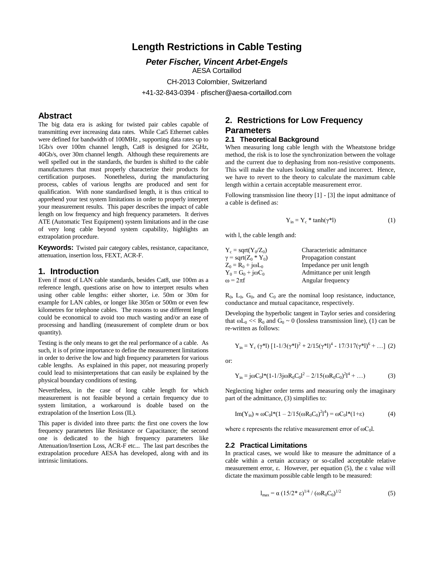# **Length Restrictions in Cable Testing**

*Peter Fischer, Vincent Arbet-Engels* AESA Cortaillod CH-2013 Colombier, Switzerland +41-32-843-0394 · pfischer@aesa-cortaillod.com

### **Abstract**

The big data era is asking for twisted pair cables capable of transmitting ever increasing data rates. While Cat5 Ethernet cables were defined for bandwidth of 100MHz , supporting data rates up to 1Gb/s over 100m channel length, Cat8 is designed for 2GHz, 40Gb/s, over 30m channel length. Although these requirements are well spelled out in the standards, the burden is shifted to the cable manufacturers that must properly characterize their products for certification purposes. Nonetheless, during the manufacturing process, cables of various lengths are produced and sent for qualification. With none standardised length, it is thus critical to apprehend your test system limitations in order to properly interpret your measurement results. This paper describes the impact of cable length on low frequency and high frequency parameters. It derives ATE (Automatic Test Equipment) system limitations and in the case of very long cable beyond system capability, highlights an extrapolation procedure.

**Keywords:** Twisted pair category cables, resistance, capacitance, attenuation, insertion loss, FEXT, ACR-F.

### **1. Introduction**

Even if most of LAN cable standards, besides Cat8, use 100m as a reference length, questions arise on how to interpret results when using other cable lengths: either shorter, i.e. 50m or 30m for example for LAN cables, or longer like 305m or 500m or even few kilometres for telephone cables. The reasons to use different length could be economical to avoid too much wasting and/or an ease of processing and handling (measurement of complete drum or box quantity).

Testing is the only means to get the real performance of a cable. As such, it is of prime importance to define the measurement limitations in order to derive the low and high frequency parameters for various cable lengths. As explained in this paper, not measuring properly could lead to misinterpretations that can easily be explained by the physical boundary conditions of testing.

Nevertheless, in the case of long cable length for which measurement is not feasible beyond a certain frequency due to system limitation, a workaround is doable based on the extrapolation of the Insertion Loss (IL).

This paper is divided into three parts: the first one covers the low frequency parameters like Resistance or Capacitance; the second one is dedicated to the high frequency parameters like Attenuation/Insertion Loss, ACR-F etc... The last part describes the extrapolation procedure AESA has developed, along with and its intrinsic limitations.

# **2. Restrictions for Low Frequency Parameters**

### **2.1 Theoretical Background**

When measuring long cable length with the Wheatstone bridge method, the risk is to lose the synchronization between the voltage and the current due to dephasing from non-resistive components. This will make the values looking smaller and incorrect. Hence, we have to revert to the theory to calculate the maximum cable length within a certain acceptable measurement error.

Following transmission line theory [1] - [3] the input admittance of a cable is defined as:

$$
Y_{in} = Y_c * \tanh(\gamma^*l)
$$
 (1)

with l, the cable length and:

| $Y_c = \text{sqrt}(Y_0/Z_0)$                      | Characteristic admittance  |  |
|---------------------------------------------------|----------------------------|--|
| $\gamma$ = sqrt(Z <sub>0</sub> * Y <sub>0</sub> ) | Propagation constant       |  |
| $Z_0 = R_0 + j\omega L_0$                         | Impedance per unit length  |  |
| $Y_0 = G_0 + j\omega C_0$                         | Admittance per unit length |  |
| $\omega = 2\pi f$                                 | Angular frequency          |  |

 $R_0$ ,  $L_0$ ,  $G_0$ , and  $C_0$  are the nominal loop resistance, inductance, conductance and mutual capacitance, respectively.

Developing the hyperbolic tangent in Taylor series and considering that  $\omega L_0 \ll R_0$  and  $G_0 \sim 0$  (lossless transmission line), (1) can be re-written as follows:

$$
Y_{in} = Y_c (\gamma^* l) [1 - 1/3(\gamma^* l)^2 + 2/15(\gamma^* l)^4 - 17/317(\gamma^* l)^6 + \dots ] (2)
$$

or:

$$
Y_{in} = j\omega C_0 l^*(1 - l/3j\omega R_0 C_0 l^2 - 2/15(\omega R_0 C_0)^2 l^4 + ...)
$$
 (3)

Neglecting higher order terms and measuring only the imaginary part of the admittance, (3) simplifies to:

Im(Y<sub>in</sub>) 
$$
\approx \omega C_0 l^*(1 - 2/15(\omega R_0 C_0)^2 l^4) = \omega C_0 l^*(1 + \epsilon)
$$
 (4)

where  $\varepsilon$  represents the relative measurement error of  $\omega C_0$ l.

#### **2.2 Practical Limitations**

In practical cases, we would like to measure the admittance of a cable within a certain accuracy or so-called acceptable relative measurement error, ε. However, per equation (5), the ε value will dictate the maximum possible cable length to be measured:

$$
l_{\text{max}} = \alpha (15/2^* \epsilon)^{1/4} / (\omega R_0 C_0)^{1/2}
$$
 (5)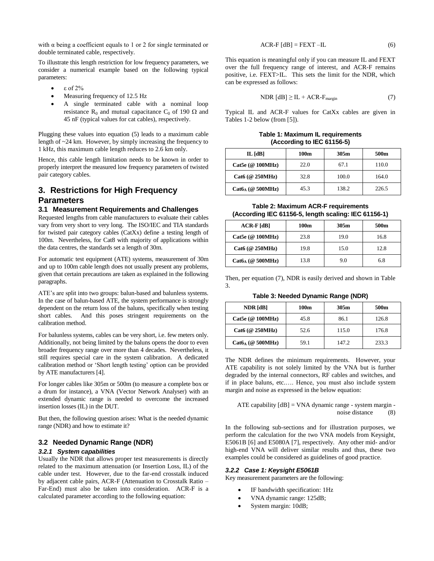with  $\alpha$  being a coefficient equals to 1 or 2 for single terminated or double terminated cable, respectively.

To illustrate this length restriction for low frequency parameters, we consider a numerical example based on the following typical parameters:

- ε of 2%
- Measuring frequency of 12.5 Hz
- A single terminated cable with a nominal loop resistance R<sub>0</sub> and mutual capacitance C<sub>0</sub> of 190  $\Omega$  and 45 nF (typical values for cat cables), respectively.

Plugging these values into equation (5) leads to a maximum cable length of ~24 km. However, by simply increasing the frequency to 1 kHz, this maximum cable length reduces to 2.6 km only.

Hence, this cable length limitation needs to be known in order to properly interpret the measured low frequency parameters of twisted pair category cables.

# **3. Restrictions for High Frequency Parameters**

### **3.1 Measurement Requirements and Challenges**

Requested lengths from cable manufacturers to evaluate their cables vary from very short to very long. The ISO/IEC and TIA standards for twisted pair category cables (CatXx) define a testing length of 100m. Nevertheless, for Cat8 with majority of applications within the data centres, the standards set a length of 30m.

For automatic test equipment (ATE) systems, measurement of 30m and up to 100m cable length does not usually present any problems, given that certain precautions are taken as explained in the following paragraphs.

ATE's are split into two groups: balun-based and balunless systems. In the case of balun-based ATE, the system performance is strongly dependent on the return loss of the baluns, specifically when testing short cables. And this poses stringent requirements on the calibration method.

For balunless systems, cables can be very short, i.e. few meters only. Additionally, not being limited by the baluns opens the door to even broader frequency range over more than 4 decades. Nevertheless, it still requires special care in the system calibration. A dedicated calibration method or 'Short length testing' option can be provided by ATE manufacturers [4].

For longer cables like 305m or 500m (to measure a complete box or a drum for instance), a VNA (Vector Network Analyser) with an extended dynamic range is needed to overcome the increased insertion losses (IL) in the DUT.

But then, the following question arises: What is the needed dynamic range (NDR) and how to estimate it?

#### **3.2 Needed Dynamic Range (NDR)**

#### *3.2.1 System capabilities*

Usually the NDR that allows proper test measurements is directly related to the maximum attenuation (or Insertion Loss, IL) of the cable under test. However, due to the far-end crosstalk induced by adjacent cable pairs, ACR-F (Attenuation to Crosstalk Ratio – Far-End) must also be taken into consideration. ACR-F is a calculated parameter according to the following equation:

$$
ACR-F [dB] = FEXT - IL
$$
 (6)

This equation is meaningful only if you can measure IL and FEXT over the full frequency range of interest, and ACR-F remains positive, i.e. FEXT>IL. This sets the limit for the NDR, which can be expressed as follows:

$$
NDR [dB] \ge IL + ACR-Fmargin
$$
 (7)

Typical IL and ACR-F values for CatXx cables are given in Tables 1-2 below (from [5]).

**Table 1: Maximum IL requirements (According to IEC 61156-5)**

| IL [dB]             | 100m | 305m  | 500m  |
|---------------------|------|-------|-------|
| Cat5e (@ 100MHz)    | 22.0 | 67.1  | 110.0 |
| $Cat6$ (@ 250MHz)   | 32.8 | 100.0 | 164.0 |
| $Cat6_A$ (@ 500MHz) | 45.3 | 138.2 | 226.5 |

**Table 2: Maximum ACR-F requirements (According IEC 61156-5, length scaling: IEC 61156-1)**

| $ACR-F[dB]$         | 100m | 305m | 500m |
|---------------------|------|------|------|
| Cat5e ( $@100MHz$ ) | 23.8 | 19.0 | 16.8 |
| $Cat6$ (@ 250MHz)   | 19.8 | 15.0 | 12.8 |
| $Cat6_A$ (@ 500MHz) | 13.8 | 9.0  | 6.8  |

Then, per equation (7), NDR is easily derived and shown in Table 3.

**Table 3: Needed Dynamic Range (NDR)**

| NDR [dB]            | 100m | 305m  | 500m  |
|---------------------|------|-------|-------|
| Cat5e (@ 100MHz)    | 45.8 | 86.1  | 126.8 |
| $Cat6$ (@ 250MHz)   | 52.6 | 115.0 | 176.8 |
| $Cat6_A$ (@ 500MHz) | 59.1 | 147.2 | 233.3 |

The NDR defines the minimum requirements. However, your ATE capability is not solely limited by the VNA but is further degraded by the internal connectors, RF cables and switches, and if in place baluns, etc.…. Hence, you must also include system margin and noise as expressed in the below equation:

ATE capability [dB] = VNA dynamic range - system margin noise distance (8)

In the following sub-sections and for illustration purposes, we perform the calculation for the two VNA models from Keysight, E5061B [6] and E5080A [7], respectively. Any other mid- and/or high-end VNA will deliver similar results and thus, these two examples could be considered as guidelines of good practice.

#### *3.2.2 Case 1: Keysight E5061B*

Key measurement parameters are the following:

- IF bandwidth specification: 1Hz
- VNA dynamic range: 125dB;
- System margin: 10dB;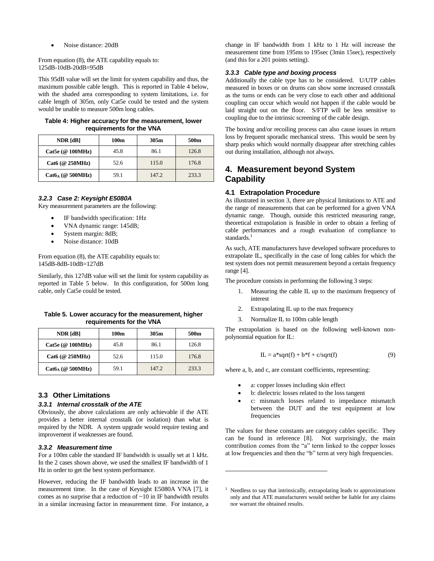Noise distance: 20dB

From equation (8), the ATE capability equals to: 125dB-10dB-20dB=95dB

This 95dB value will set the limit for system capability and thus, the maximum possible cable length. This is reported in Table 4 below, with the shaded area corresponding to system limitations, i.e. for cable length of 305m, only Cat5e could be tested and the system would be unable to measure 500m long cables.

**Table 4: Higher accuracy for the measurement, lower requirements for the VNA**

| NDR [dB]            | 100m | 305m  | 500m  |
|---------------------|------|-------|-------|
| Cat5e (@ 100MHz)    | 45.8 | 86.1  | 126.8 |
| Cat6 (@ 250MHz)     | 52.6 | 115.0 | 176.8 |
| $Cat6_A$ (@ 500MHz) | 59.1 | 147.2 | 233.3 |

#### *3.2.3 Case 2: Keysight E5080A*

Key measurement parameters are the following:

- IF bandwidth specification: 1Hz
- VNA dynamic range: 145dB;
- System margin: 8dB;
- Noise distance: 10dB

From equation (8), the ATE capability equals to: 145dB-8dB-10dB=127dB

Similarly, this 127dB value will set the limit for system capability as reported in Table 5 below. In this configuration, for 500m long cable, only Cat5e could be tested.

**Table 5. Lower accuracy for the measurement, higher requirements for the VNA**

| NDR [dB]            | 100m | 305m  | 500m  |
|---------------------|------|-------|-------|
| Cat5e (@ 100MHz)    | 45.8 | 86.1  | 126.8 |
| Cat6 (@ 250MHz)     | 52.6 | 115.0 | 176.8 |
| $Cat6_A$ (@ 500MHz) | 59.1 | 147.2 | 233.3 |

### **3.3 Other Limitations**

#### *3.3.1 Internal crosstalk of the ATE*

Obviously, the above calculations are only achievable if the ATE provides a better internal crosstalk (or isolation) than what is required by the NDR. A system upgrade would require testing and improvement if weaknesses are found.

### *3.3.2 Measurement time*

For a 100m cable the standard IF bandwidth is usually set at 1 kHz. In the 2 cases shown above, we used the smallest IF bandwidth of 1 Hz in order to get the best system performance.

However, reducing the IF bandwidth leads to an increase in the measurement time. In the case of Keysight E5080A VNA [7], it comes as no surprise that a reduction of ~10 in IF bandwidth results in a similar increasing factor in measurement time. For instance, a

change in IF bandwidth from 1 kHz to 1 Hz will increase the measurement time from 195ms to 195sec (3min 15sec), respectively (and this for a 201 points setting).

### *3.3.3 Cable type and boxing process*

Additionally the cable type has to be considered. U/UTP cables measured in boxes or on drums can show some increased crosstalk as the turns or ends can be very close to each other and additional coupling can occur which would not happen if the cable would be laid straight out on the floor. S/FTP will be less sensitive to coupling due to the intrinsic screening of the cable design.

The boxing and/or recoiling process can also cause issues in return loss by frequent sporadic mechanical stress. This would be seen by sharp peaks which would normally disappear after stretching cables out during installation, although not always.

## **4. Measurement beyond System Capability**

### **4.1 Extrapolation Procedure**

As illustrated in section 3, there are physical limitations to ATE and the range of measurements that can be performed for a given VNA dynamic range. Though, outside this restricted measuring range, theoretical extrapolation is feasible in order to obtain a feeling of cable performances and a rough evaluation of compliance to standards.<sup>1</sup>

As such, ATE manufacturers have developed software procedures to extrapolate IL, specifically in the case of long cables for which the test system does not permit measurement beyond a certain frequency range [4].

The procedure consists in performing the following 3 steps:

- 1. Measuring the cable IL up to the maximum frequency of interest
- 2. Extrapolating IL up to the max frequency
- 3. Normalize IL to 100m cable length

The extrapolation is based on the following well-known nonpolynomial equation for IL:

$$
IL = a * sqrt(f) + b * f + c/sqrt(f)
$$
\n(9)

where a, b, and c, are constant coefficients, representing:

a: copper losses including skin effect

 $\overline{a}$ 

- b: dielectric losses related to the loss tangent
- c: mismatch losses related to impedance mismatch between the DUT and the test equipment at low frequencies

The values for these constants are category cables specific. They can be found in reference [8]. Not surprisingly, the main contribution comes from the "a" term linked to the copper losses at low frequencies and then the "b" term at very high frequencies.

<sup>&</sup>lt;sup>1</sup> Needless to say that intrinsically, extrapolating leads to approximations only and that ATE manufacturers would neither be liable for any claims nor warrant the obtained results.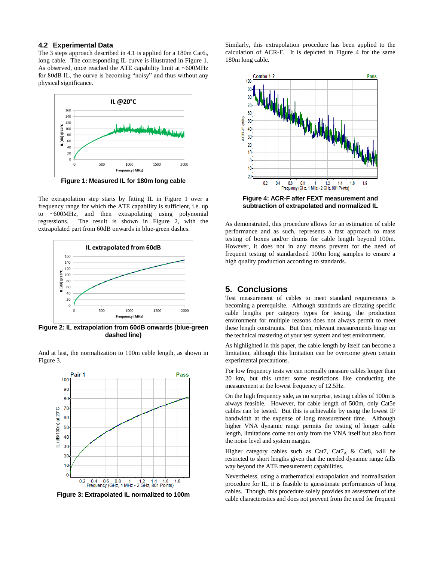#### **4.2 Experimental Data**

The 3 steps approach described in 4.1 is applied for a  $180$ m Cat $6_A$ long cable. The corresponding IL curve is illustrated in Figure 1. As observed, once reached the ATE capability limit at ~600MHz for 80dB IL, the curve is becoming "noisy" and thus without any physical significance.



**Figure 1: Measured IL for 180m long cable**

The extrapolation step starts by fitting IL in Figure 1 over a frequency range for which the ATE capability is sufficient, i.e. up to ~600MHz, and then extrapolating using polynomial regressions. The result is shown in Figure 2, with the extrapolated part from 60dB onwards in blue-green dashes.



**Figure 2: IL extrapolation from 60dB onwards (blue-green dashed line)**

And at last, the normalization to 100m cable length, as shown in Figure 3.



**Figure 3: Extrapolated IL normalized to 100m**

Similarly, this extrapolation procedure has been applied to the calculation of ACR-F. It is depicted in Figure 4 for the same 180m long cable.



**Figure 4: ACR-F after FEXT measurement and subtraction of extrapolated and normalized IL**

As demonstrated, this procedure allows for an estimation of cable performance and as such, represents a fast approach to mass testing of boxes and/or drums for cable length beyond 100m. However, it does not in any means prevent for the need of frequent testing of standardised 100m long samples to ensure a high quality production according to standards.

## **5. Conclusions**

Test measurement of cables to meet standard requirements is becoming a prerequisite. Although standards are dictating specific cable lengths per category types for testing, the production environment for multiple reasons does not always permit to meet these length constraints. But then, relevant measurements hinge on the technical mastering of your test system and test environment.

As highlighted in this paper, the cable length by itself can become a limitation, although this limitation can be overcome given certain experimental precautions.

For low frequency tests we can normally measure cables longer than 20 km, but this under some restrictions like conducting the measurement at the lowest frequency of 12.5Hz.

On the high frequency side, as no surprise, testing cables of 100m is always feasible. However, for cable length of 500m, only Cat5e cables can be tested. But this is achievable by using the lowest IF bandwidth at the expense of long measurement time. Although higher VNA dynamic range permits the testing of longer cable length, limitations come not only from the VNA itself but also from the noise level and system margin.

Higher category cables such as Cat7, Cat7<sub>A</sub> & Cat8, will be restricted to short lengths given that the needed dynamic range falls way beyond the ATE measurement capabilities.

Nevertheless, using a mathematical extrapolation and normalisation procedure for IL, it is feasible to guesstimate performances of long cables. Though, this procedure solely provides an assessment of the cable characteristics and does not prevent from the need for frequent